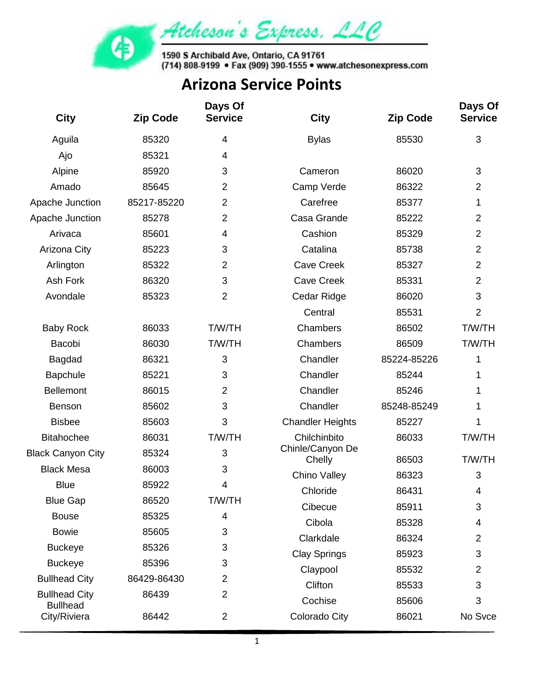

| <b>City</b>                     | <b>Zip Code</b> | Days Of<br><b>Service</b> | <b>City</b>                | <b>Zip Code</b> | Days Of<br><b>Service</b> |
|---------------------------------|-----------------|---------------------------|----------------------------|-----------------|---------------------------|
| Aguila                          | 85320           | 4                         | <b>Bylas</b>               | 85530           | 3                         |
| Ajo                             | 85321           | 4                         |                            |                 |                           |
| Alpine                          | 85920           | 3                         | Cameron                    | 86020           | 3                         |
| Amado                           | 85645           | $\overline{2}$            | Camp Verde                 | 86322           | $\overline{2}$            |
| Apache Junction                 | 85217-85220     | $\overline{2}$            | Carefree                   | 85377           | 1                         |
| Apache Junction                 | 85278           | $\overline{2}$            | Casa Grande                | 85222           | $\overline{2}$            |
| Arivaca                         | 85601           | 4                         | Cashion                    | 85329           | $\overline{2}$            |
| Arizona City                    | 85223           | 3                         | Catalina                   | 85738           | $\overline{2}$            |
| Arlington                       | 85322           | $\overline{2}$            | <b>Cave Creek</b>          | 85327           | $\overline{2}$            |
| Ash Fork                        | 86320           | 3                         | <b>Cave Creek</b>          | 85331           | $\overline{2}$            |
| Avondale                        | 85323           | 2                         | Cedar Ridge                | 86020           | 3                         |
|                                 |                 |                           | Central                    | 85531           | $\overline{2}$            |
| <b>Baby Rock</b>                | 86033           | <b>T/W/TH</b>             | Chambers                   | 86502           | <b>T/W/TH</b>             |
| Bacobi                          | 86030           | <b>T/W/TH</b>             | Chambers                   | 86509           | T/W/TH                    |
| Bagdad                          | 86321           | 3                         | Chandler                   | 85224-85226     | 1                         |
| <b>Bapchule</b>                 | 85221           | 3                         | Chandler                   | 85244           | 1                         |
| <b>Bellemont</b>                | 86015           | $\overline{2}$            | Chandler                   | 85246           | 1                         |
| <b>Benson</b>                   | 85602           | 3                         | Chandler                   | 85248-85249     | 1                         |
| <b>Bisbee</b>                   | 85603           | 3                         | <b>Chandler Heights</b>    | 85227           | 1                         |
| <b>Bitahochee</b>               | 86031           | <b>T/W/TH</b>             | Chilchinbito               | 86033           | <b>T/W/TH</b>             |
| <b>Black Canyon City</b>        | 85324           | 3                         | Chinle/Canyon De<br>Chelly | 86503           | <b>T/W/TH</b>             |
| <b>Black Mesa</b>               | 86003           | 3                         | Chino Valley               | 86323           | 3                         |
| <b>Blue</b>                     | 85922           | 4                         | Chloride                   | 86431           | 4                         |
| <b>Blue Gap</b>                 | 86520           | <b>T/W/TH</b>             | Cibecue                    | 85911           | 3                         |
| <b>Bouse</b>                    | 85325           | 4                         | Cibola                     | 85328           | 4                         |
| <b>Bowie</b>                    | 85605           | 3                         | Clarkdale                  | 86324           | $\overline{2}$            |
| <b>Buckeye</b>                  | 85326           | 3                         | <b>Clay Springs</b>        | 85923           | 3                         |
| <b>Buckeye</b>                  | 85396           | 3                         | Claypool                   | 85532           | $\overline{2}$            |
| <b>Bullhead City</b>            | 86429-86430     | $\overline{2}$            | Clifton                    | 85533           | 3                         |
| <b>Bullhead City</b>            | 86439           | 2                         | Cochise                    | 85606           | 3                         |
| <b>Bullhead</b><br>City/Riviera | 86442           | $\overline{2}$            | Colorado City              | 86021           | No Svce                   |
|                                 |                 |                           |                            |                 |                           |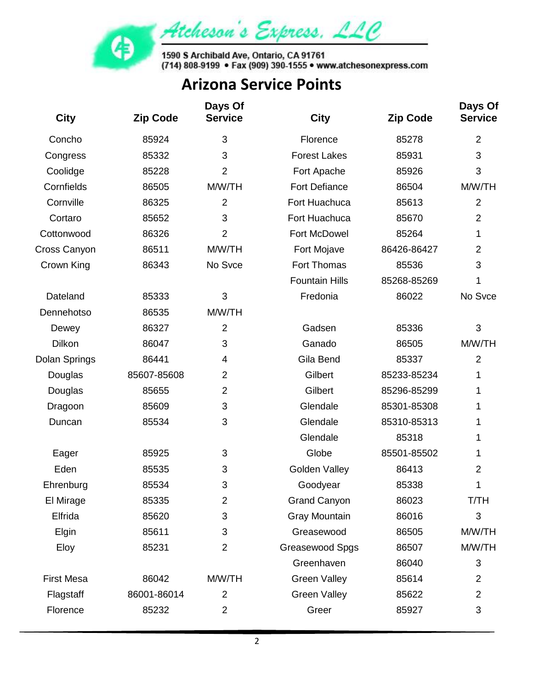

| <b>City</b>       | <b>Zip Code</b> | Days Of<br><b>Service</b> | <b>City</b>           | <b>Zip Code</b> | Days Of<br><b>Service</b> |
|-------------------|-----------------|---------------------------|-----------------------|-----------------|---------------------------|
| Concho            | 85924           | $\sqrt{3}$                | Florence              | 85278           | $\overline{2}$            |
| Congress          | 85332           | 3                         | <b>Forest Lakes</b>   | 85931           | 3                         |
| Coolidge          | 85228           | $\overline{2}$            | Fort Apache           | 85926           | 3                         |
| Cornfields        | 86505           | M/W/TH                    | <b>Fort Defiance</b>  | 86504           | M/W/TH                    |
| Cornville         | 86325           | $\overline{2}$            | Fort Huachuca         | 85613           | $\overline{2}$            |
| Cortaro           | 85652           | 3                         | Fort Huachuca         | 85670           | $\overline{2}$            |
| Cottonwood        | 86326           | 2                         | Fort McDowel          | 85264           | 1                         |
| Cross Canyon      | 86511           | M/W/TH                    | Fort Mojave           | 86426-86427     | $\overline{2}$            |
| Crown King        | 86343           | No Svce                   | Fort Thomas           | 85536           | 3                         |
|                   |                 |                           | <b>Fountain Hills</b> | 85268-85269     | 1                         |
| Dateland          | 85333           | 3                         | Fredonia              | 86022           | No Svce                   |
| Dennehotso        | 86535           | M/W/TH                    |                       |                 |                           |
| Dewey             | 86327           | $\overline{2}$            | Gadsen                | 85336           | 3                         |
| <b>Dilkon</b>     | 86047           | 3                         | Ganado                | 86505           | M/W/TH                    |
| Dolan Springs     | 86441           | 4                         | Gila Bend             | 85337           | $\overline{2}$            |
| Douglas           | 85607-85608     | $\overline{2}$            | Gilbert               | 85233-85234     | 1                         |
| Douglas           | 85655           | $\overline{2}$            | Gilbert               | 85296-85299     | 1                         |
| Dragoon           | 85609           | 3                         | Glendale              | 85301-85308     | 1                         |
| Duncan            | 85534           | 3                         | Glendale              | 85310-85313     | 1                         |
|                   |                 |                           | Glendale              | 85318           | 1                         |
| Eager             | 85925           | 3                         | Globe                 | 85501-85502     | 1                         |
| Eden              | 85535           | 3                         | <b>Golden Valley</b>  | 86413           | $\overline{2}$            |
| Ehrenburg         | 85534           | 3                         | Goodyear              | 85338           | 1                         |
| El Mirage         | 85335           | $\overline{2}$            | <b>Grand Canyon</b>   | 86023           | T/TH                      |
| Elfrida           | 85620           | 3                         | <b>Gray Mountain</b>  | 86016           | 3                         |
| Elgin             | 85611           | 3                         | Greasewood            | 86505           | M/W/TH                    |
| Eloy              | 85231           | $\overline{2}$            | Greasewood Spgs       | 86507           | M/W/TH                    |
|                   |                 |                           | Greenhaven            | 86040           | 3                         |
| <b>First Mesa</b> | 86042           | M/W/TH                    | <b>Green Valley</b>   | 85614           | $\overline{2}$            |
| Flagstaff         | 86001-86014     | $\overline{2}$            | <b>Green Valley</b>   | 85622           | 2                         |
| Florence          | 85232           | $\overline{2}$            | Greer                 | 85927           | 3                         |
|                   |                 |                           |                       |                 |                           |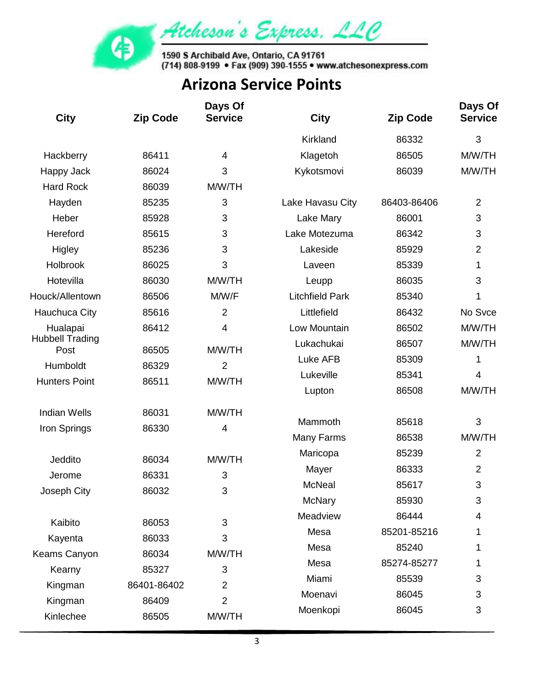

1590 S Archibald Ave, Ontario, CA 91761<br>(714) 808-9199 • Fax (909) 390-1555 • www.atchesonexpress.com

| <b>City</b>                    | <b>Zip Code</b> | Days Of<br><b>Service</b> | <b>City</b>            | <b>Zip Code</b> | Days Of<br><b>Service</b> |
|--------------------------------|-----------------|---------------------------|------------------------|-----------------|---------------------------|
|                                |                 |                           | Kirkland               | 86332           | 3                         |
| Hackberry                      | 86411           | $\overline{4}$            | Klagetoh               | 86505           | M/W/TH                    |
| Happy Jack                     | 86024           | 3                         | Kykotsmovi             | 86039           | M/W/TH                    |
| <b>Hard Rock</b>               | 86039           | M/W/TH                    |                        |                 |                           |
| Hayden                         | 85235           | 3                         | Lake Havasu City       | 86403-86406     | 2                         |
| Heber                          | 85928           | 3                         | Lake Mary              | 86001           | 3                         |
| Hereford                       | 85615           | 3                         | Lake Motezuma          | 86342           | 3                         |
| Higley                         | 85236           | 3                         | Lakeside               | 85929           | $\overline{2}$            |
| Holbrook                       | 86025           | 3                         | Laveen                 | 85339           | 1                         |
| Hotevilla                      | 86030           | M/W/TH                    | Leupp                  | 86035           | 3                         |
| Houck/Allentown                | 86506           | M/W/F                     | <b>Litchfield Park</b> | 85340           | 1                         |
| <b>Hauchuca City</b>           | 85616           | $\overline{2}$            | Littlefield            | 86432           | No Svce                   |
| Hualapai                       | 86412           | $\overline{4}$            | Low Mountain           | 86502           | M/W/TH                    |
| <b>Hubbell Trading</b><br>Post | 86505           | M/W/TH                    | Lukachukai             | 86507           | M/W/TH                    |
| Humboldt                       | 86329           | $\overline{2}$            | Luke AFB               | 85309           | 1                         |
| <b>Hunters Point</b>           | 86511           | M/W/TH                    | Lukeville              | 85341           | 4                         |
|                                |                 |                           | Lupton                 | 86508           | M/W/TH                    |
| <b>Indian Wells</b>            | 86031           | M/W/TH                    |                        |                 |                           |
| Iron Springs                   | 86330           | $\overline{4}$            | Mammoth                | 85618           | 3                         |
|                                |                 |                           | Many Farms             | 86538           | M/W/TH                    |
| Jeddito                        | 86034           | M/W/TH                    | Maricopa               | 85239           | $\overline{2}$            |
| Jerome                         | 86331           | 3                         | Mayer                  | 86333           | $\overline{2}$            |
| Joseph City                    | 86032           | 3                         | <b>McNeal</b>          | 85617           | 3                         |
|                                |                 |                           | <b>McNary</b>          | 85930           | 3                         |
| Kaibito                        | 86053           | 3                         | Meadview               | 86444           | 4                         |
| Kayenta                        | 86033           | 3                         | Mesa                   | 85201-85216     | 1                         |
| Keams Canyon                   | 86034           | M/W/TH                    | Mesa                   | 85240           | 1                         |
| Kearny                         | 85327           | 3                         | Mesa                   | 85274-85277     | 1                         |
| Kingman                        | 86401-86402     | $\overline{2}$            | Miami                  | 85539           | 3                         |
| Kingman                        | 86409           | $\overline{2}$            | Moenavi                | 86045           | 3                         |
| Kinlechee                      | 86505           | M/W/TH                    | Moenkopi               | 86045           | 3                         |
|                                |                 |                           |                        |                 |                           |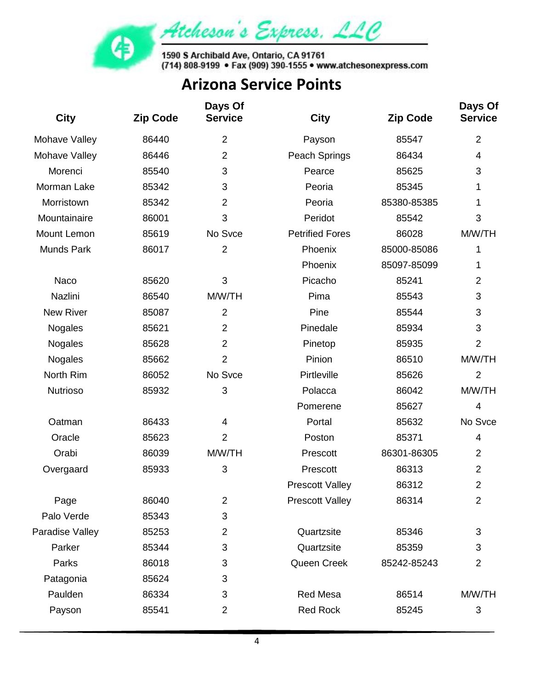

| <b>City</b>       | <b>Zip Code</b> | Days Of<br><b>Service</b> | <b>City</b>            | <b>Zip Code</b> | Days Of<br><b>Service</b> |
|-------------------|-----------------|---------------------------|------------------------|-----------------|---------------------------|
| Mohave Valley     | 86440           | $\overline{2}$            | Payson                 | 85547           | $\overline{2}$            |
| Mohave Valley     | 86446           | $\overline{2}$            | Peach Springs          | 86434           | 4                         |
| Morenci           | 85540           | 3                         | Pearce                 | 85625           | 3                         |
| Morman Lake       | 85342           | 3                         | Peoria                 | 85345           | 1                         |
| Morristown        | 85342           | $\overline{2}$            | Peoria                 | 85380-85385     | 1                         |
| Mountainaire      | 86001           | 3                         | Peridot                | 85542           | 3                         |
| Mount Lemon       | 85619           | No Svce                   | <b>Petrified Fores</b> | 86028           | M/W/TH                    |
| <b>Munds Park</b> | 86017           | $\overline{2}$            | Phoenix                | 85000-85086     | 1                         |
|                   |                 |                           | Phoenix                | 85097-85099     | 1                         |
| Naco              | 85620           | 3                         | Picacho                | 85241           | $\overline{2}$            |
| Nazlini           | 86540           | M/W/TH                    | Pima                   | 85543           | 3                         |
| <b>New River</b>  | 85087           | $\overline{2}$            | Pine                   | 85544           | 3                         |
| Nogales           | 85621           | $\overline{2}$            | Pinedale               | 85934           | 3                         |
| <b>Nogales</b>    | 85628           | $\overline{2}$            | Pinetop                | 85935           | $\overline{2}$            |
| Nogales           | 85662           | $\overline{2}$            | Pinion                 | 86510           | M/W/TH                    |
| North Rim         | 86052           | No Svce                   | Pirtleville            | 85626           | $\overline{2}$            |
| <b>Nutrioso</b>   | 85932           | 3                         | Polacca                | 86042           | M/W/TH                    |
|                   |                 |                           | Pomerene               | 85627           | $\overline{4}$            |
| Oatman            | 86433           | 4                         | Portal                 | 85632           | No Svce                   |
| Oracle            | 85623           | $\overline{2}$            | Poston                 | 85371           | 4                         |
| Orabi             | 86039           | M/W/TH                    | Prescott               | 86301-86305     | $\overline{2}$            |
| Overgaard         | 85933           | 3                         | Prescott               | 86313           | $\overline{2}$            |
|                   |                 |                           | <b>Prescott Valley</b> | 86312           | 2                         |
| Page              | 86040           | $\overline{2}$            | <b>Prescott Valley</b> | 86314           | $\overline{2}$            |
| Palo Verde        | 85343           | 3                         |                        |                 |                           |
| Paradise Valley   | 85253           | $\overline{2}$            | Quartzsite             | 85346           | 3                         |
| Parker            | 85344           | 3                         | Quartzsite             | 85359           | 3                         |
| Parks             | 86018           | 3                         | Queen Creek            | 85242-85243     | $\overline{2}$            |
| Patagonia         | 85624           | 3                         |                        |                 |                           |
| Paulden           | 86334           | 3                         | <b>Red Mesa</b>        | 86514           | M/W/TH                    |
| Payson            | 85541           | $\overline{2}$            | <b>Red Rock</b>        | 85245           | 3                         |
|                   |                 |                           |                        |                 |                           |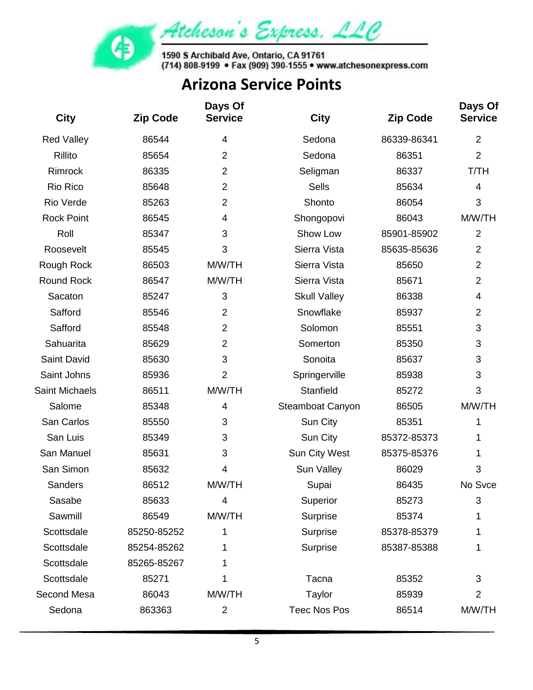

| <b>City</b>           | <b>Zip Code</b> | Days Of<br><b>Service</b> | <b>City</b>         | <b>Zip Code</b> | Days Of<br><b>Service</b> |
|-----------------------|-----------------|---------------------------|---------------------|-----------------|---------------------------|
| <b>Red Valley</b>     | 86544           | 4                         | Sedona              | 86339-86341     | $\overline{2}$            |
| Rillito               | 85654           | $\overline{2}$            | Sedona              | 86351           | $\overline{2}$            |
| Rimrock               | 86335           | $\overline{2}$            | Seligman            | 86337           | T/TH                      |
| Rio Rico              | 85648           | $\overline{2}$            | <b>Sells</b>        | 85634           | 4                         |
| Rio Verde             | 85263           | $\overline{2}$            | Shonto              | 86054           | 3                         |
| <b>Rock Point</b>     | 86545           | 4                         | Shongopovi          | 86043           | M/W/TH                    |
| Roll                  | 85347           | 3                         | Show Low            | 85901-85902     | $\overline{2}$            |
| Roosevelt             | 85545           | 3                         | Sierra Vista        | 85635-85636     | $\overline{2}$            |
| Rough Rock            | 86503           | M/W/TH                    | Sierra Vista        | 85650           | $\overline{2}$            |
| <b>Round Rock</b>     | 86547           | M/W/TH                    | Sierra Vista        | 85671           | $\overline{2}$            |
| Sacaton               | 85247           | $\sqrt{3}$                | <b>Skull Valley</b> | 86338           | $\overline{4}$            |
| Safford               | 85546           | $\overline{2}$            | Snowflake           | 85937           | $\overline{2}$            |
| Safford               | 85548           | $\overline{2}$            | Solomon             | 85551           | 3                         |
| Sahuarita             | 85629           | $\overline{2}$            | Somerton            | 85350           | 3                         |
| Saint David           | 85630           | 3                         | Sonoita             | 85637           | 3                         |
| Saint Johns           | 85936           | $\overline{2}$            | Springerville       | 85938           | 3                         |
| <b>Saint Michaels</b> | 86511           | M/W/TH                    | Stanfield           | 85272           | 3                         |
| Salome                | 85348           | 4                         | Steamboat Canyon    | 86505           | M/W/TH                    |
| San Carlos            | 85550           | 3                         | Sun City            | 85351           | 1                         |
| San Luis              | 85349           | 3                         | Sun City            | 85372-85373     | 1                         |
| San Manuel            | 85631           | 3                         | Sun City West       | 85375-85376     | 1                         |
| San Simon             | 85632           | 4                         | Sun Valley          | 86029           | 3                         |
| <b>Sanders</b>        | 86512           | M/W/TH                    | Supai               | 86435           | No Svce                   |
| Sasabe                | 85633           | 4                         | Superior            | 85273           | 3                         |
| Sawmill               | 86549           | M/W/TH                    | Surprise            | 85374           | 1                         |
| Scottsdale            | 85250-85252     | 1                         | Surprise            | 85378-85379     | 1                         |
| Scottsdale            | 85254-85262     | 1                         | Surprise            | 85387-85388     | 1                         |
| Scottsdale            | 85265-85267     | 1                         |                     |                 |                           |
| Scottsdale            | 85271           | 1                         | Tacna               | 85352           | 3                         |
| Second Mesa           | 86043           | M/W/TH                    | Taylor              | 85939           | 2                         |
| Sedona                | 863363          | $\overline{2}$            | <b>Teec Nos Pos</b> | 86514           | M/W/TH                    |
|                       |                 |                           |                     |                 |                           |